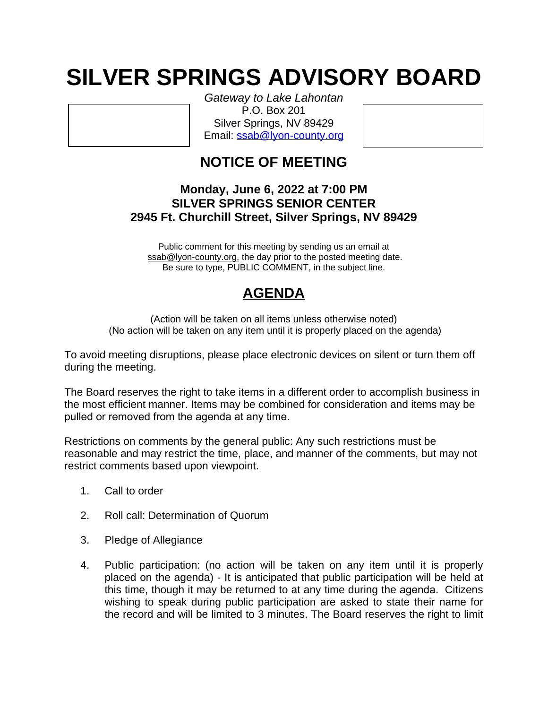## **SILVER SPRINGS ADVISORY BOARD**

*Gateway to Lake Lahontan* P.O. Box 201 Silver Springs, NV 89429 Email: [ssab@lyon-county.org](mailto:ssab@lyon-county.org)

## **NOTICE OF MEETING**

## **Monday, June 6, 2022 at 7:00 PM SILVER SPRINGS SENIOR CENTER 2945 Ft. Churchill Street, Silver Springs, NV 89429**

Public comment for this meeting by sending us an email at ssab@lyon-county.org, the day prior to the posted meeting date. Be sure to type, PUBLIC COMMENT, in the subject line.

## **AGENDA**

(Action will be taken on all items unless otherwise noted) (No action will be taken on any item until it is properly placed on the agenda)

To avoid meeting disruptions, please place electronic devices on silent or turn them off during the meeting.

The Board reserves the right to take items in a different order to accomplish business in the most efficient manner. Items may be combined for consideration and items may be pulled or removed from the agenda at any time.

Restrictions on comments by the general public: Any such restrictions must be reasonable and may restrict the time, place, and manner of the comments, but may not restrict comments based upon viewpoint.

- 1. Call to order
- 2. Roll call: Determination of Quorum
- 3. Pledge of Allegiance
- 4. Public participation: (no action will be taken on any item until it is properly placed on the agenda) - It is anticipated that public participation will be held at this time, though it may be returned to at any time during the agenda. Citizens wishing to speak during public participation are asked to state their name for the record and will be limited to 3 minutes. The Board reserves the right to limit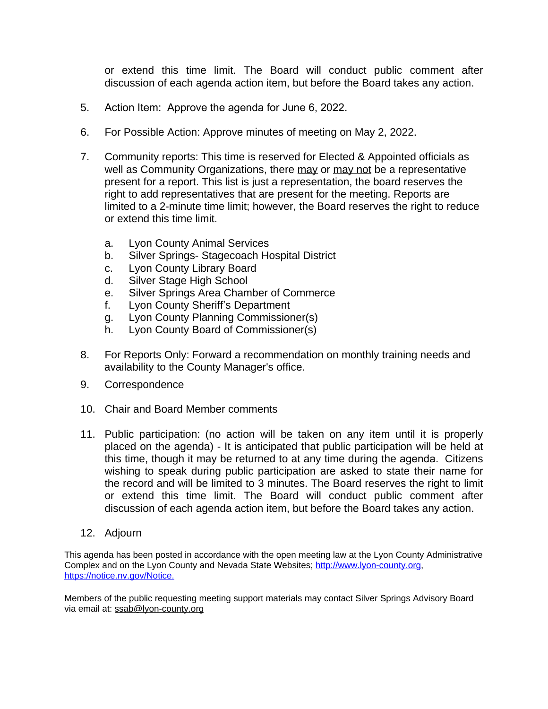or extend this time limit. The Board will conduct public comment after discussion of each agenda action item, but before the Board takes any action.

- 5. Action Item: Approve the agenda for June 6, 2022.
- 6. For Possible Action: Approve minutes of meeting on May 2, 2022.
- 7. Community reports: This time is reserved for Elected & Appointed officials as well as Community Organizations, there may or may not be a representative present for a report. This list is just a representation, the board reserves the right to add representatives that are present for the meeting. Reports are limited to a 2-minute time limit; however, the Board reserves the right to reduce or extend this time limit.
	- a. Lyon County Animal Services
	- b. Silver Springs- Stagecoach Hospital District
	- c. Lyon County Library Board
	- d. Silver Stage High School
	- e. Silver Springs Area Chamber of Commerce
	- f. Lyon County Sheriff's Department
	- g. Lyon County Planning Commissioner(s)
	- h. Lyon County Board of Commissioner(s)
- 8. For Reports Only: Forward a recommendation on monthly training needs and availability to the County Manager's office.
- 9. Correspondence
- 10. Chair and Board Member comments
- 11. Public participation: (no action will be taken on any item until it is properly placed on the agenda) - It is anticipated that public participation will be held at this time, though it may be returned to at any time during the agenda. Citizens wishing to speak during public participation are asked to state their name for the record and will be limited to 3 minutes. The Board reserves the right to limit or extend this time limit. The Board will conduct public comment after discussion of each agenda action item, but before the Board takes any action.
- 12. Adjourn

This agenda has been posted in accordance with the open meeting law at the Lyon County Administrative Complex and on the Lyon County and Nevada State Websites; [http://www.lyon-county.org](about:blank)[,](about:blank)  [https://notice.nv.gov/Notice.](about:blank)

Members of the public requesting meeting support materials may contact Silver Springs Advisory Board via email at: [ssab@lyon-county.org](mailto:ssab@lyon-county.org)